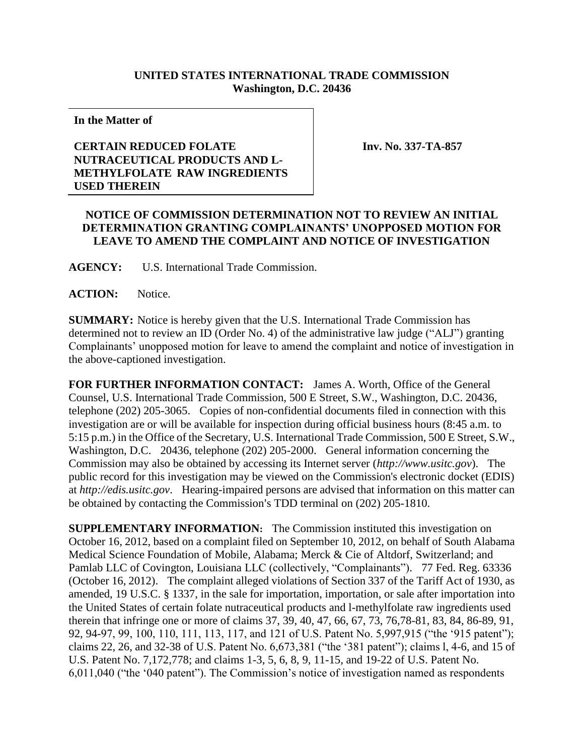## **UNITED STATES INTERNATIONAL TRADE COMMISSION Washington, D.C. 20436**

**In the Matter of**

## **CERTAIN REDUCED FOLATE NUTRACEUTICAL PRODUCTS AND L-METHYLFOLATE RAW INGREDIENTS USED THEREIN**

 **Inv. No. 337-TA-857**

## **NOTICE OF COMMISSION DETERMINATION NOT TO REVIEW AN INITIAL DETERMINATION GRANTING COMPLAINANTS' UNOPPOSED MOTION FOR LEAVE TO AMEND THE COMPLAINT AND NOTICE OF INVESTIGATION**

**AGENCY:** U.S. International Trade Commission.

**ACTION:** Notice.

**SUMMARY:** Notice is hereby given that the U.S. International Trade Commission has determined not to review an ID (Order No. 4) of the administrative law judge ("ALJ") granting Complainants' unopposed motion for leave to amend the complaint and notice of investigation in the above-captioned investigation.

**FOR FURTHER INFORMATION CONTACT:** James A. Worth, Office of the General Counsel, U.S. International Trade Commission, 500 E Street, S.W., Washington, D.C. 20436, telephone (202) 205-3065. Copies of non-confidential documents filed in connection with this investigation are or will be available for inspection during official business hours (8:45 a.m. to 5:15 p.m.) in the Office of the Secretary, U.S. International Trade Commission, 500 E Street, S.W., Washington, D.C. 20436, telephone (202) 205-2000. General information concerning the Commission may also be obtained by accessing its Internet server (*http://www.usitc.gov*). The public record for this investigation may be viewed on the Commission's electronic docket (EDIS) at *http://edis.usitc.gov*. Hearing-impaired persons are advised that information on this matter can be obtained by contacting the Commission's TDD terminal on (202) 205-1810.

**SUPPLEMENTARY INFORMATION:** The Commission instituted this investigation on October 16, 2012, based on a complaint filed on September 10, 2012, on behalf of South Alabama Medical Science Foundation of Mobile, Alabama; Merck & Cie of Altdorf, Switzerland; and Pamlab LLC of Covington, Louisiana LLC (collectively, "Complainants"). 77 Fed. Reg. 63336 (October 16, 2012). The complaint alleged violations of Section 337 of the Tariff Act of 1930, as amended, 19 U.S.C. § 1337, in the sale for importation, importation, or sale after importation into the United States of certain folate nutraceutical products and l-methylfolate raw ingredients used therein that infringe one or more of claims 37, 39, 40, 47, 66, 67, 73, 76,78-81, 83, 84, 86-89, 91, 92, 94-97, 99, 100, 110, 111, 113, 117, and 121 of U.S. Patent No. 5,997,915 ("the '915 patent"); claims 22, 26, and 32-38 of U.S. Patent No. 6,673,381 ("the '381 patent"); claims l, 4-6, and 15 of U.S. Patent No. 7,172,778; and claims 1-3, 5, 6, 8, 9, 11-15, and 19-22 of U.S. Patent No. 6,011,040 ("the '040 patent"). The Commission's notice of investigation named as respondents